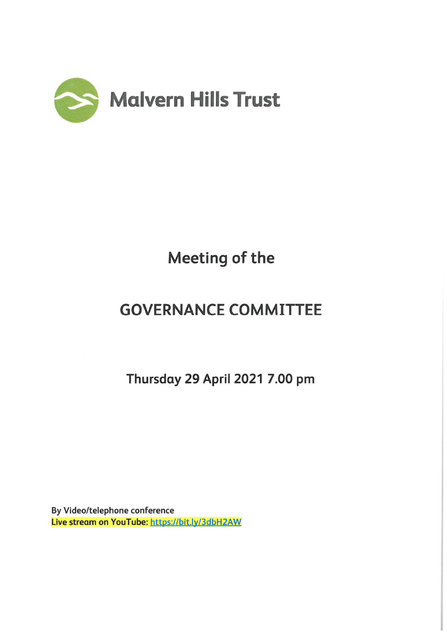

# Meeting of the

## GOVERNANCE COMMITTEE

Thursday 29 April 2021 7.00 pm

By Video/telephone conference Live stream on YouTube: https://bit.ly/3dbH2AW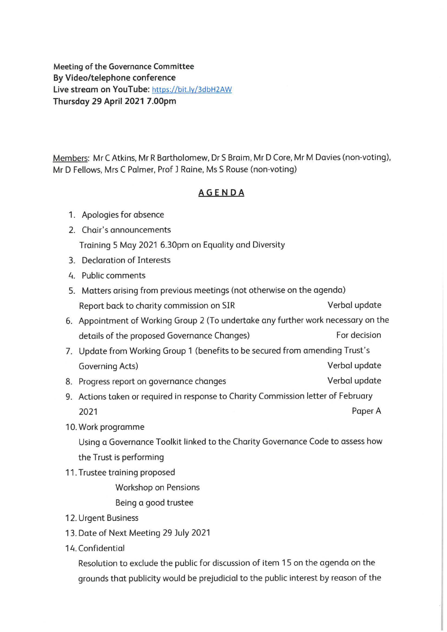**Meeting of the Governance Committee By Video/telephone conference Live stream** on **YouTube:** https://bit.ly/3dbH2AW **Thursday 29 April 2021 7.00pm** 

Members: Mr C Atkins, Mr R Bartholomew, Dr S Braim, Mr D Core, Mr M Davies (non-voting), Mr D Fellows, Mrs C Palmer, Prof J Raine, Ms S Rouse (non-voting)

## **AGENDA**

- 1. Apologies for absence
- 2. Chair's announcements Training 5 May 2021 6.30pm on Equality and Diversity
- 3. Declaration of Interests
- 4. Public comments
- 5. Matters arising from previous meetings (not otherwise on the agenda) Report back to charity commission on SIR Verbal update
- 6. Appointment of Working Group 2 (To undertake any further work necessary on the details of the proposed Governance Changes) For decision
- 7. Update from Working Group 1 (benefits to be secured from amending Trust's Governing Acts) and the Contract of Coverning Acts and the Verbal update
- 8. Progress report on governance changes verbal verbal update
- 9. Actions taken or required in response to Charity Commission letter of February 2021 Paper A
- 10. Work programme

Using a Governance Toolkit linked to the Charity Governance Code to assess how the Trust is performing

11. Trustee training proposed

Workshop on Pensions

Being a good trustee

- 12. Urgent Business
- 13. Date of Next Meeting 29 July 2021
- 14. Confidential

Resolution to exclude the public for discussion of item 15 on the agenda on the grounds that publicity would be prejudicial to the public interest by reason of the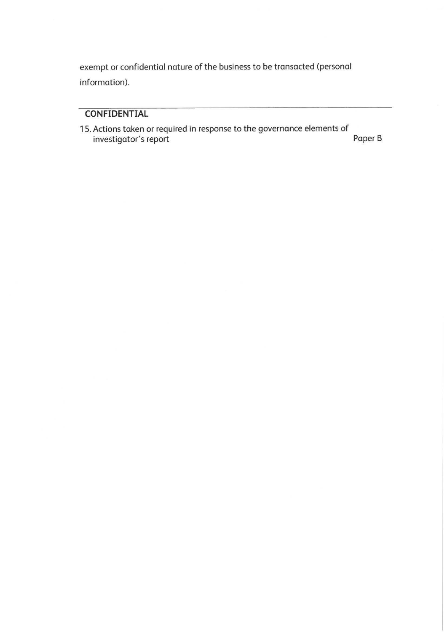exempt or confidential nature of the business to be transacted (personal information).

## **CONFIDENTIAL**

1 5. Actions taken or required in response to the governance elements of investigator's report Paper B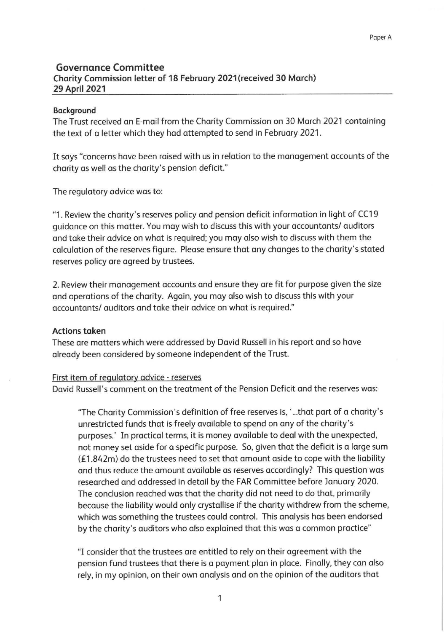### **Governance Committee Charity Commission letter of 18 February 2021 (received 30 March) 29 April 2021**

#### **Background**

The Trust received an E-mail from the Charity Commission on 30 March 2021 containing the text of a letter which they had attempted to send in February 2021.

It says "concerns have been raised with us in relation to the management accounts of the charity as well as the charity's pension deficit."

The regulatory advice was to:

"1 . Review the charity's reserves policy and pension deficit information in light of CC19 guidance on this matter. You may wish to discuss this with your accountants/ auditors and take their advice on what is required; you may also wish to discuss with them the calculation of the reserves figure. Please ensure that any changes to the charity's stated reserves policy are agreed by trustees.

2. Review their management accounts and ensure they are fit for purpose given the size and operations of the charity. Again, you may also wish to discuss this with your accountants/ auditors and take their advice on what is required."

#### **Actions taken**

These are matters which were addressed by David Russell in his report and so have already been considered by someone independent of the Trust.

#### First item of regulatory advice - reserves

David Russell's comment on the treatment of the Pension Deficit and the reserves was:

'The Charity Commission's definition of free reserves is, ' ... that part of a charity's unrestricted funds that is freely available to spend on any of the charity's purposes.' In practical terms, it is money available to deal with the unexpected, not money set aside for a specific purpose. So, given that the deficit is a large sum  $(E1.842m)$  do the trustees need to set that amount aside to cope with the liability and thus reduce the amount available as reserves accordingly? This question was researched and addressed in detail by the FAR Committee before January 2020. The conclusion reached was that the charity did not need to do that, primarily because the liability would only crystallise if the charity withdrew from the scheme, which was something the trustees could control. This analysis has been endorsed by the charity's auditors who also explained that this was a common practice"

"I consider that the trustees are entitled to rely on their agreement with the pension fund trustees that there is a payment plan in place. Finally, they can also rely, in my opinion, on their own analysis and on the opinion of the auditors that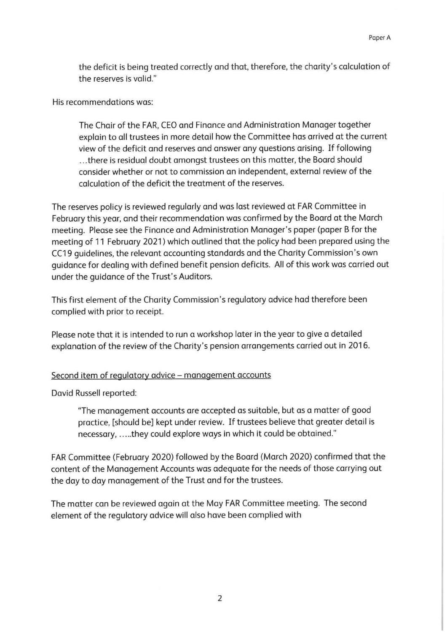the deficit is being treated correctly and that, therefore, the charity's calculation of the reserves is valid."

His recommendations was:

The Chair of the FAR, CEO and Finance and Administration Manager together explain to all trustees in more detail how the Committee has arrived at the current view of the deficit and reserves and answer any questions arising. If following ... there is residual doubt amongst trustees on this matter, the Board should consider whether or not to commission an independent, external review of the calculation of the deficit the treatment of the reserves.

The reserves policy is reviewed regularly and was last reviewed at FAR Committee in February this year, and their recommendation was confirmed by the Board at the March meeting. Please see the Finance and Administration Manager's paper (paper B for the meeting of 11 February 2021) which outlined that the policy had been prepared using the CC19 guidelines, the relevant accounting standards and the Charity Commission's own guidance for dealing with defined benefit pension deficits. All of this work was carried out under the guidance of the Trust's Auditors.

This first element of the Charity Commission's regulatory advice had therefore been complied with prior to receipt.

Please note that it is intended to run a workshop later in the year to give a detailed explanation of the review of the Charity's pension arrangements carried out in 2016.

#### Second item of regulatory advice - management accounts

David Russell reported:

"The management accounts are accepted as suitable, but as a matter of good practice, [should be] kept under review. If trustees believe that greater detail is necessary, ..... they could explore ways in which it could be obtained."

FAR Committee (February 2020) followed by the Board (March 2020) confirmed that the content of the Management Accounts was adequate for the needs of those carrying out the day to day management of the Trust and for the trustees.

The matter can be reviewed again at the May FAR Committee meeting. The second element of the regulatory advice will also have been complied with